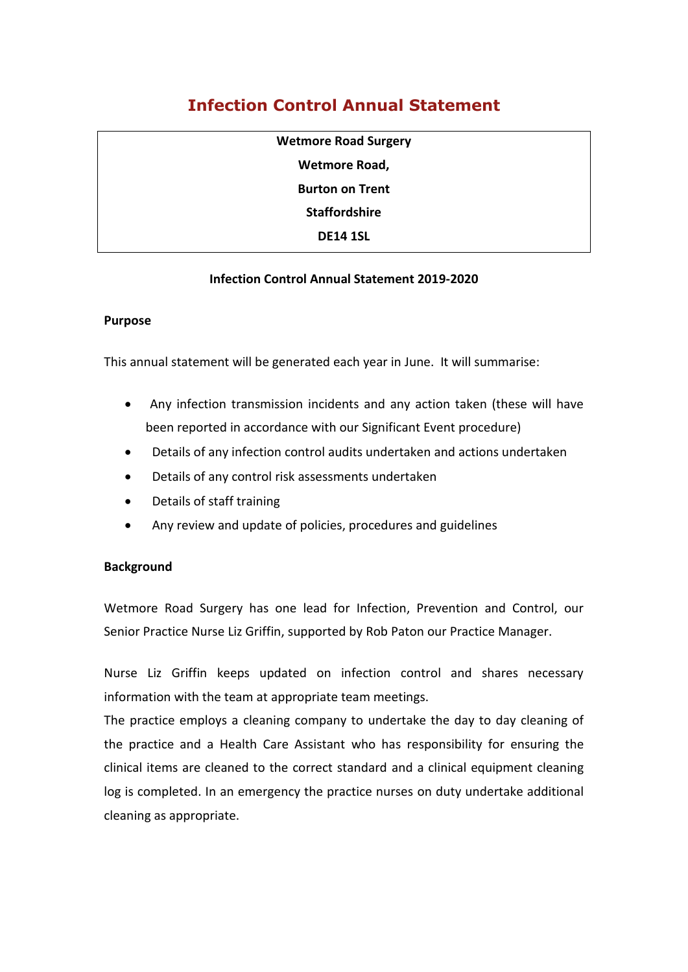# **Infection Control Annual Statement**

| <b>Wetmore Road Surgery</b> |
|-----------------------------|
| Wetmore Road,               |
| <b>Burton on Trent</b>      |
| <b>Staffordshire</b>        |
| <b>DE14 1SL</b>             |
|                             |

# **Infection Control Annual Statement 2019-2020**

#### **Purpose**

This annual statement will be generated each year in June. It will summarise:

- Any infection transmission incidents and any action taken (these will have been reported in accordance with our Significant Event procedure)
- Details of any infection control audits undertaken and actions undertaken
- Details of any control risk assessments undertaken
- Details of staff training
- Any review and update of policies, procedures and guidelines

## **Background**

Wetmore Road Surgery has one lead for Infection, Prevention and Control, our Senior Practice Nurse Liz Griffin, supported by Rob Paton our Practice Manager.

Nurse Liz Griffin keeps updated on infection control and shares necessary information with the team at appropriate team meetings.

The practice employs a cleaning company to undertake the day to day cleaning of the practice and a Health Care Assistant who has responsibility for ensuring the clinical items are cleaned to the correct standard and a clinical equipment cleaning log is completed. In an emergency the practice nurses on duty undertake additional cleaning as appropriate.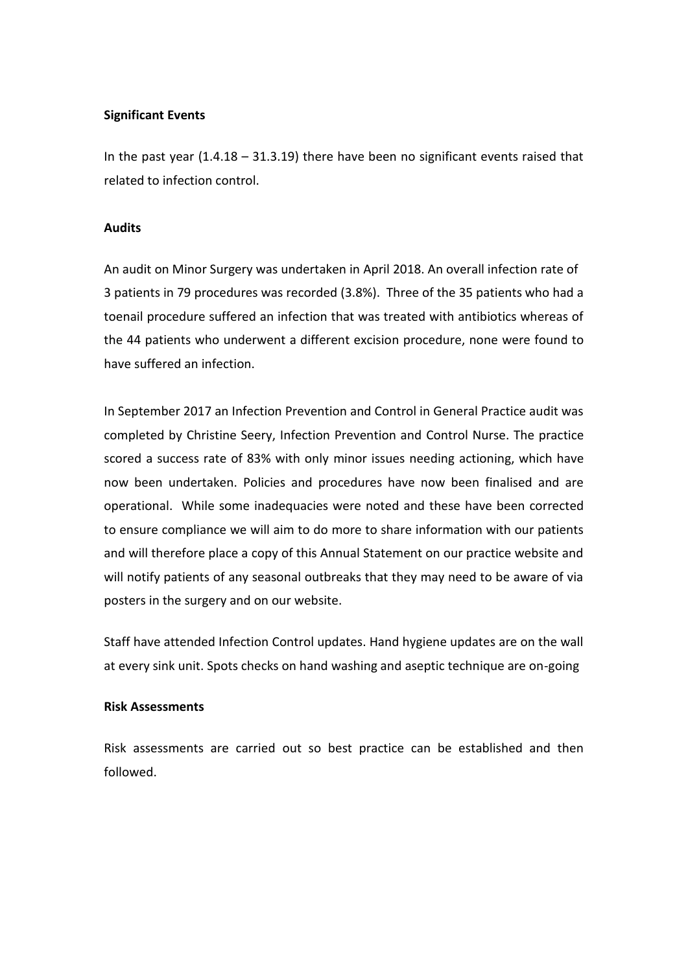## **Significant Events**

In the past year (1.4.18 – 31.3.19) there have been no significant events raised that related to infection control.

### **Audits**

An audit on Minor Surgery was undertaken in April 2018. An overall infection rate of 3 patients in 79 procedures was recorded (3.8%). Three of the 35 patients who had a toenail procedure suffered an infection that was treated with antibiotics whereas of the 44 patients who underwent a different excision procedure, none were found to have suffered an infection.

In September 2017 an Infection Prevention and Control in General Practice audit was completed by Christine Seery, Infection Prevention and Control Nurse. The practice scored a success rate of 83% with only minor issues needing actioning, which have now been undertaken. Policies and procedures have now been finalised and are operational. While some inadequacies were noted and these have been corrected to ensure compliance we will aim to do more to share information with our patients and will therefore place a copy of this Annual Statement on our practice website and will notify patients of any seasonal outbreaks that they may need to be aware of via posters in the surgery and on our website.

Staff have attended Infection Control updates. Hand hygiene updates are on the wall at every sink unit. Spots checks on hand washing and aseptic technique are on-going

#### **Risk Assessments**

Risk assessments are carried out so best practice can be established and then followed.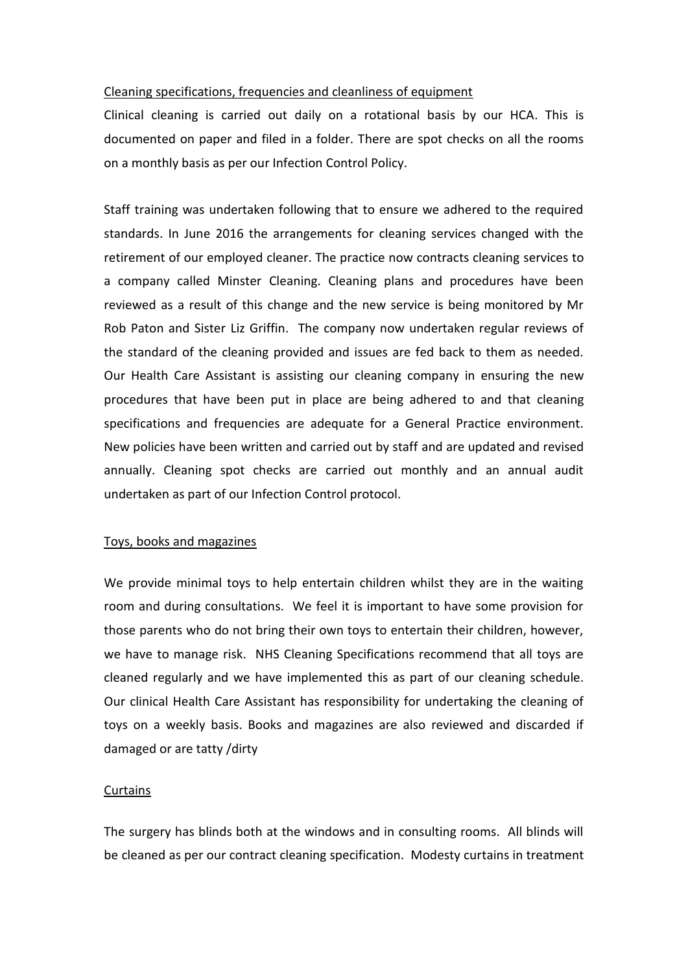#### Cleaning specifications, frequencies and cleanliness of equipment

Clinical cleaning is carried out daily on a rotational basis by our HCA. This is documented on paper and filed in a folder. There are spot checks on all the rooms on a monthly basis as per our Infection Control Policy.

Staff training was undertaken following that to ensure we adhered to the required standards. In June 2016 the arrangements for cleaning services changed with the retirement of our employed cleaner. The practice now contracts cleaning services to a company called Minster Cleaning. Cleaning plans and procedures have been reviewed as a result of this change and the new service is being monitored by Mr Rob Paton and Sister Liz Griffin. The company now undertaken regular reviews of the standard of the cleaning provided and issues are fed back to them as needed. Our Health Care Assistant is assisting our cleaning company in ensuring the new procedures that have been put in place are being adhered to and that cleaning specifications and frequencies are adequate for a General Practice environment. New policies have been written and carried out by staff and are updated and revised annually. Cleaning spot checks are carried out monthly and an annual audit undertaken as part of our Infection Control protocol.

## Toys, books and magazines

We provide minimal toys to help entertain children whilst they are in the waiting room and during consultations. We feel it is important to have some provision for those parents who do not bring their own toys to entertain their children, however, we have to manage risk. NHS Cleaning Specifications recommend that all toys are cleaned regularly and we have implemented this as part of our cleaning schedule. Our clinical Health Care Assistant has responsibility for undertaking the cleaning of toys on a weekly basis. Books and magazines are also reviewed and discarded if damaged or are tatty /dirty

## Curtains

The surgery has blinds both at the windows and in consulting rooms. All blinds will be cleaned as per our contract cleaning specification. Modesty curtains in treatment